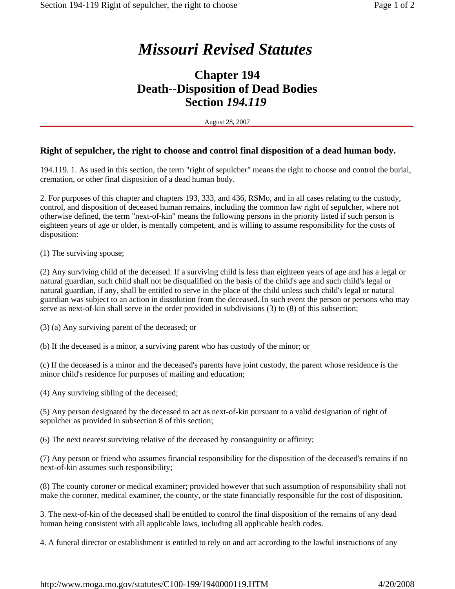## *Missouri Revised Statutes*

## **Chapter 194 Death--Disposition of Dead Bodies Section** *194.119*

August 28, 2007

## **Right of sepulcher, the right to choose and control final disposition of a dead human body.**

194.119. 1. As used in this section, the term "right of sepulcher" means the right to choose and control the burial, cremation, or other final disposition of a dead human body.

2. For purposes of this chapter and chapters 193, 333, and 436, RSMo, and in all cases relating to the custody, control, and disposition of deceased human remains, including the common law right of sepulcher, where not otherwise defined, the term "next-of-kin" means the following persons in the priority listed if such person is eighteen years of age or older, is mentally competent, and is willing to assume responsibility for the costs of disposition:

(1) The surviving spouse;

(2) Any surviving child of the deceased. If a surviving child is less than eighteen years of age and has a legal or natural guardian, such child shall not be disqualified on the basis of the child's age and such child's legal or natural guardian, if any, shall be entitled to serve in the place of the child unless such child's legal or natural guardian was subject to an action in dissolution from the deceased. In such event the person or persons who may serve as next-of-kin shall serve in the order provided in subdivisions (3) to (8) of this subsection;

(3) (a) Any surviving parent of the deceased; or

(b) If the deceased is a minor, a surviving parent who has custody of the minor; or

(c) If the deceased is a minor and the deceased's parents have joint custody, the parent whose residence is the minor child's residence for purposes of mailing and education;

(4) Any surviving sibling of the deceased;

(5) Any person designated by the deceased to act as next-of-kin pursuant to a valid designation of right of sepulcher as provided in subsection 8 of this section;

(6) The next nearest surviving relative of the deceased by consanguinity or affinity;

(7) Any person or friend who assumes financial responsibility for the disposition of the deceased's remains if no next-of-kin assumes such responsibility;

(8) The county coroner or medical examiner; provided however that such assumption of responsibility shall not make the coroner, medical examiner, the county, or the state financially responsible for the cost of disposition.

3. The next-of-kin of the deceased shall be entitled to control the final disposition of the remains of any dead human being consistent with all applicable laws, including all applicable health codes.

4. A funeral director or establishment is entitled to rely on and act according to the lawful instructions of any